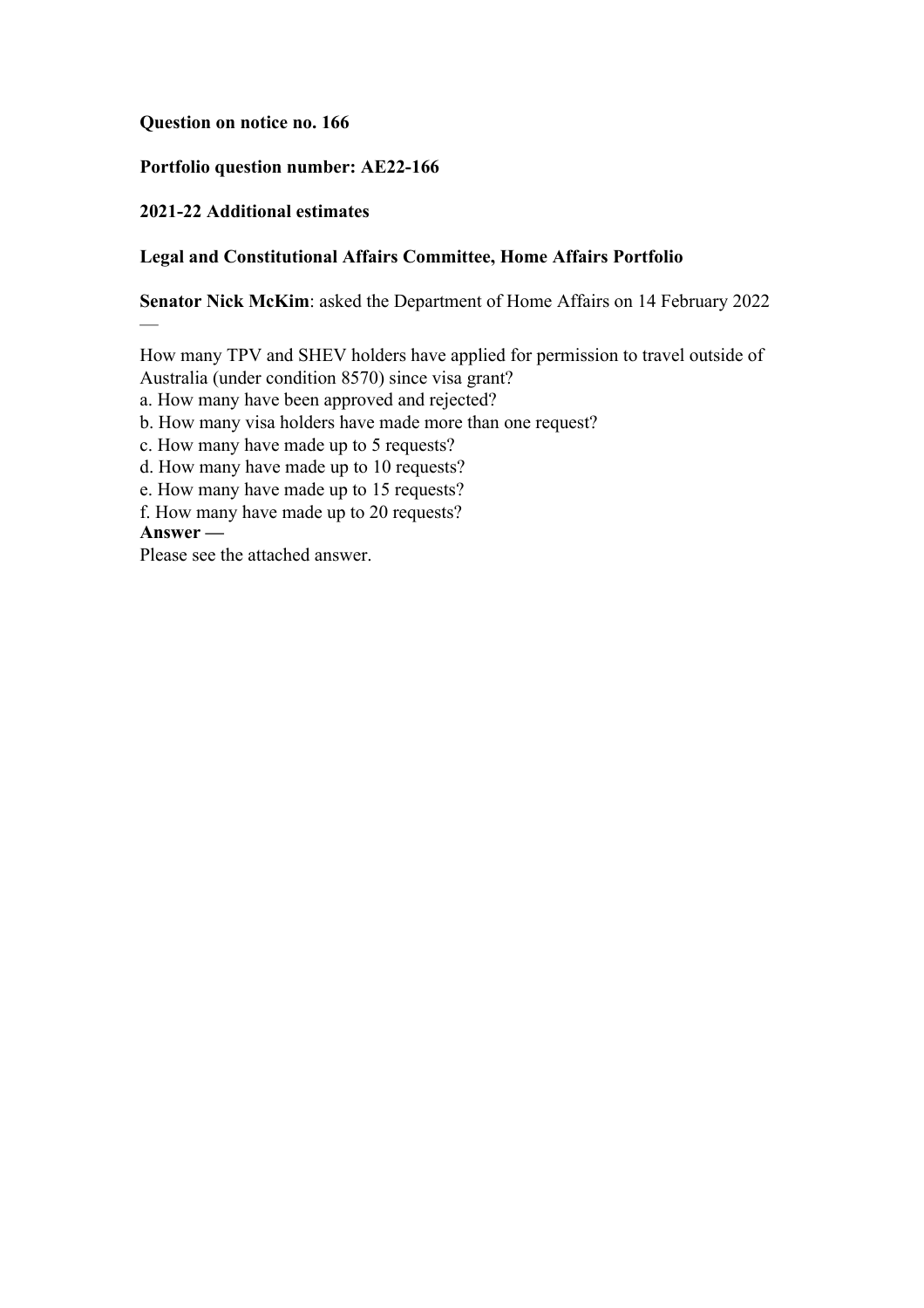## **Question on notice no. 166**

# **Portfolio question number: AE22-166**

# **2021-22 Additional estimates**

# **Legal and Constitutional Affairs Committee, Home Affairs Portfolio**

**Senator Nick McKim**: asked the Department of Home Affairs on 14 February 2022

How many TPV and SHEV holders have applied for permission to travel outside of

Australia (under condition 8570) since visa grant?

a. How many have been approved and rejected?

b. How many visa holders have made more than one request?

c. How many have made up to 5 requests?

d. How many have made up to 10 requests?

e. How many have made up to 15 requests?

f. How many have made up to 20 requests?

**Answer —**

—

Please see the attached answer.